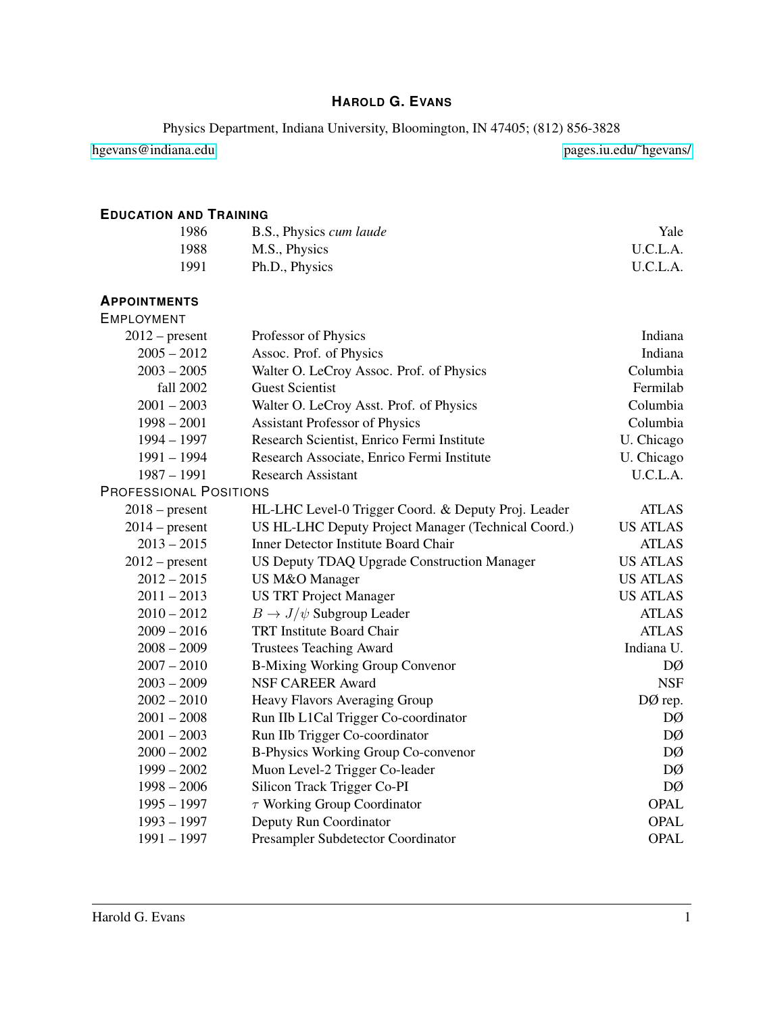# **HAROLD G. EVANS**

Physics Department, Indiana University, Bloomington, IN 47405; (812) 856-3828

[hgevans@indiana.edu](mailto://hgevans@indiana.edu) [pages.iu.edu/˜hgevans/](http://pages.iu.edu/~hgevans/)

# **EDUCATION AND TRAINING**

| 1986 | B.S., Physics cum laude | Yale     |
|------|-------------------------|----------|
| 1988 | M.S., Physics           | U.C.L.A. |
| 1991 | Ph.D., Physics          | U.C.L.A. |

#### **APPOINTMENTS**

| <b>EMPLOYMENT</b>             |                                                     |                 |
|-------------------------------|-----------------------------------------------------|-----------------|
| $2012$ – present              | Professor of Physics                                | Indiana         |
| $2005 - 2012$                 | Assoc. Prof. of Physics                             | Indiana         |
| $2003 - 2005$                 | Walter O. LeCroy Assoc. Prof. of Physics            | Columbia        |
| fall 2002                     | <b>Guest Scientist</b>                              | Fermilab        |
| $2001 - 2003$                 | Walter O. LeCroy Asst. Prof. of Physics             | Columbia        |
| $1998 - 2001$                 | <b>Assistant Professor of Physics</b>               | Columbia        |
| $1994 - 1997$                 | Research Scientist, Enrico Fermi Institute          | U. Chicago      |
| $1991 - 1994$                 | Research Associate, Enrico Fermi Institute          | U. Chicago      |
| $1987 - 1991$                 | <b>Research Assistant</b>                           | U.C.L.A.        |
| <b>PROFESSIONAL POSITIONS</b> |                                                     |                 |
| $2018$ – present              | HL-LHC Level-0 Trigger Coord. & Deputy Proj. Leader | <b>ATLAS</b>    |
| $2014$ – present              | US HL-LHC Deputy Project Manager (Technical Coord.) | <b>US ATLAS</b> |
| $2013 - 2015$                 | Inner Detector Institute Board Chair                | <b>ATLAS</b>    |
| $2012$ – present              | US Deputy TDAQ Upgrade Construction Manager         | <b>US ATLAS</b> |
| $2012 - 2015$                 | US M&O Manager                                      | <b>US ATLAS</b> |
| $2011 - 2013$                 | <b>US TRT Project Manager</b>                       | <b>US ATLAS</b> |
| $2010 - 2012$                 | $B \to J/\psi$ Subgroup Leader                      | <b>ATLAS</b>    |
| $2009 - 2016$                 | <b>TRT Institute Board Chair</b>                    | <b>ATLAS</b>    |
| $2008 - 2009$                 | <b>Trustees Teaching Award</b>                      | Indiana U.      |
| $2007 - 2010$                 | <b>B-Mixing Working Group Convenor</b>              | DØ              |
| $2003 - 2009$                 | <b>NSF CAREER Award</b>                             | <b>NSF</b>      |
| $2002 - 2010$                 | Heavy Flavors Averaging Group                       | DØ rep.         |
| $2001 - 2008$                 | Run IIb L1Cal Trigger Co-coordinator                | DØ              |
| $2001 - 2003$                 | Run IIb Trigger Co-coordinator                      | DØ              |
| $2000 - 2002$                 | B-Physics Working Group Co-convenor                 | DØ              |
| $1999 - 2002$                 | Muon Level-2 Trigger Co-leader                      | DØ              |
| $1998 - 2006$                 | Silicon Track Trigger Co-PI                         | DØ              |
| $1995 - 1997$                 | $\tau$ Working Group Coordinator                    | <b>OPAL</b>     |
| $1993 - 1997$                 | Deputy Run Coordinator                              | <b>OPAL</b>     |
| $1991 - 1997$                 | Presampler Subdetector Coordinator                  | <b>OPAL</b>     |